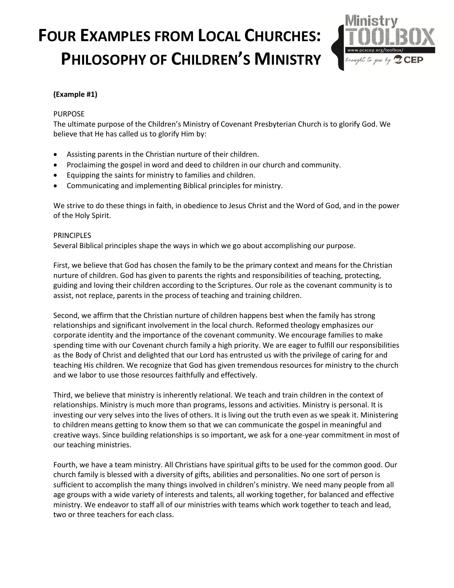

#### **(Example #1)**

#### PURPOSE

The ultimate purpose of the Children's Ministry of Covenant Presbyterian Church is to glorify God. We believe that He has called us to glorify Him by:

- Assisting parents in the Christian nurture of their children.
- Proclaiming the gospel in word and deed to children in our church and community.
- Equipping the saints for ministry to families and children.
- Communicating and implementing Biblical principles for ministry.

We strive to do these things in faith, in obedience to Jesus Christ and the Word of God, and in the power of the Holy Spirit.

#### **PRINCIPLES**

Several Biblical principles shape the ways in which we go about accomplishing our purpose.

First, we believe that God has chosen the family to be the primary context and means for the Christian nurture of children. God has given to parents the rights and responsibilities of teaching, protecting, guiding and loving their children according to the Scriptures. Our role as the covenant community is to assist, not replace, parents in the process of teaching and training children.

Second, we affirm that the Christian nurture of children happens best when the family has strong relationships and significant involvement in the local church. Reformed theology emphasizes our corporate identity and the importance of the covenant community. We encourage families to make spending time with our Covenant church family a high priority. We are eager to fulfill our responsibilities as the Body of Christ and delighted that our Lord has entrusted us with the privilege of caring for and teaching His children. We recognize that God has given tremendous resources for ministry to the church and we labor to use those resources faithfully and effectively.

Third, we believe that ministry is inherently relational. We teach and train children in the context of relationships. Ministry is much more than programs, lessons and activities. Ministry is personal. It is investing our very selves into the lives of others. It is living out the truth even as we speak it. Ministering to children means getting to know them so that we can communicate the gospel in meaningful and creative ways. Since building relationships is so important, we ask for a one-year commitment in most of our teaching ministries.

Fourth, we have a team ministry. All Christians have spiritual gifts to be used for the common good. Our church family is blessed with a diversity of gifts, abilities and personalities. No one sort of person is sufficient to accomplish the many things involved in children's ministry. We need many people from all age groups with a wide variety of interests and talents, all working together, for balanced and effective ministry. We endeavor to staff all of our ministries with teams which work together to teach and lead, two or three teachers for each class.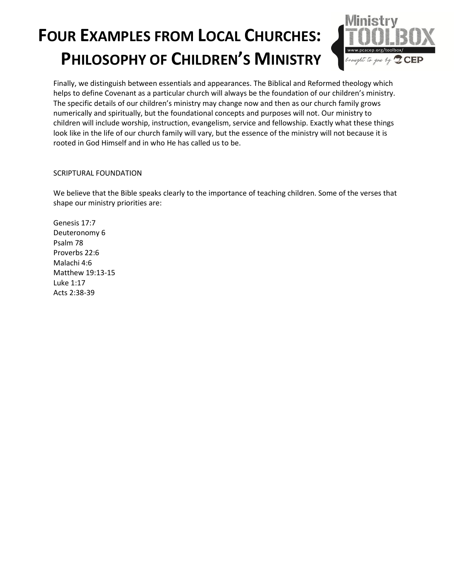

Finally, we distinguish between essentials and appearances. The Biblical and Reformed theology which helps to define Covenant as a particular church will always be the foundation of our children's ministry. The specific details of our children's ministry may change now and then as our church family grows numerically and spiritually, but the foundational concepts and purposes will not. Our ministry to children will include worship, instruction, evangelism, service and fellowship. Exactly what these things look like in the life of our church family will vary, but the essence of the ministry will not because it is rooted in God Himself and in who He has called us to be.

#### SCRIPTURAL FOUNDATION

We believe that the Bible speaks clearly to the importance of teaching children. Some of the verses that shape our ministry priorities are:

Genesis 17:7 Deuteronomy 6 Psalm 78 Proverbs 22:6 Malachi 4:6 Matthew 19:13-15 Luke 1:17 Acts 2:38-39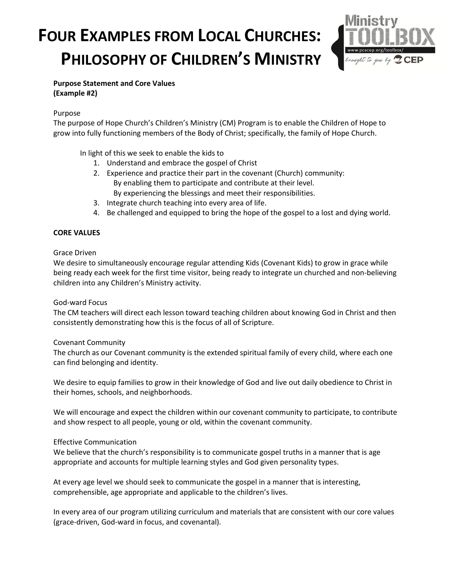

**Purpose Statement and Core Values (Example #2)**

#### Purpose

The purpose of Hope Church's Children's Ministry (CM) Program is to enable the Children of Hope to grow into fully functioning members of the Body of Christ; specifically, the family of Hope Church.

In light of this we seek to enable the kids to

- 1. Understand and embrace the gospel of Christ
- 2. Experience and practice their part in the covenant (Church) community: By enabling them to participate and contribute at their level. By experiencing the blessings and meet their responsibilities.
- 3. Integrate church teaching into every area of life.
- 4. Be challenged and equipped to bring the hope of the gospel to a lost and dying world.

#### **CORE VALUES**

#### Grace Driven

We desire to simultaneously encourage regular attending Kids (Covenant Kids) to grow in grace while being ready each week for the first time visitor, being ready to integrate un churched and non-believing children into any Children's Ministry activity.

#### God-ward Focus

The CM teachers will direct each lesson toward teaching children about knowing God in Christ and then consistently demonstrating how this is the focus of all of Scripture.

#### Covenant Community

The church as our Covenant community is the extended spiritual family of every child, where each one can find belonging and identity.

We desire to equip families to grow in their knowledge of God and live out daily obedience to Christ in their homes, schools, and neighborhoods.

We will encourage and expect the children within our covenant community to participate, to contribute and show respect to all people, young or old, within the covenant community.

#### Effective Communication

We believe that the church's responsibility is to communicate gospel truths in a manner that is age appropriate and accounts for multiple learning styles and God given personality types.

At every age level we should seek to communicate the gospel in a manner that is interesting, comprehensible, age appropriate and applicable to the children's lives.

In every area of our program utilizing curriculum and materials that are consistent with our core values (grace-driven, God-ward in focus, and covenantal).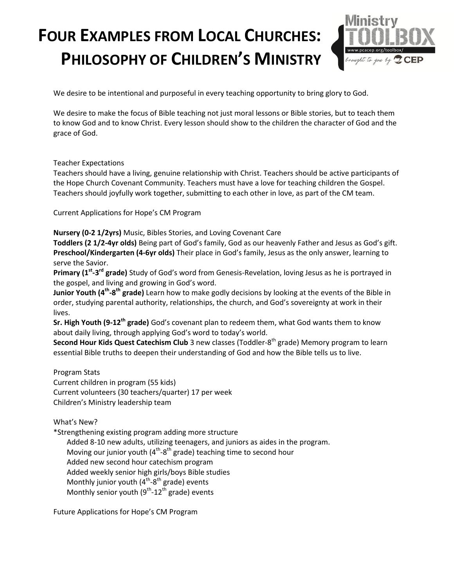

We desire to be intentional and purposeful in every teaching opportunity to bring glory to God.

We desire to make the focus of Bible teaching not just moral lessons or Bible stories, but to teach them to know God and to know Christ. Every lesson should show to the children the character of God and the grace of God.

Teacher Expectations

Teachers should have a living, genuine relationship with Christ. Teachers should be active participants of the Hope Church Covenant Community. Teachers must have a love for teaching children the Gospel. Teachers should joyfully work together, submitting to each other in love, as part of the CM team.

Current Applications for Hope's CM Program

**Nursery (0-2 1/2yrs)** Music, Bibles Stories, and Loving Covenant Care

**Toddlers (2 1/2-4yr olds)** Being part of God's family, God as our heavenly Father and Jesus as God's gift. **Preschool/Kindergarten (4-6yr olds)** Their place in God's family, Jesus as the only answer, learning to serve the Savior.

Primary (1<sup>st</sup>-3<sup>rd</sup> grade) Study of God's word from Genesis-Revelation, loving Jesus as he is portrayed in the gospel, and living and growing in God's word.

**Junior Youth (4<sup>th</sup>-8<sup>th</sup> grade)** Learn how to make godly decisions by looking at the events of the Bible in order, studying parental authority, relationships, the church, and God's sovereignty at work in their lives.

**Sr. High Youth (9-12th grade)** God's covenant plan to redeem them, what God wants them to know about daily living, through applying God's word to today's world.

**Second Hour Kids Quest Catechism Club** 3 new classes (Toddler-8 th grade) Memory program to learn essential Bible truths to deepen their understanding of God and how the Bible tells us to live.

Program Stats Current children in program (55 kids) Current volunteers (30 teachers/quarter) 17 per week Children's Ministry leadership team

What's New?

\*Strengthening existing program adding more structure

Added 8-10 new adults, utilizing teenagers, and juniors as aides in the program. Moving our junior youth (4<sup>th</sup>-8<sup>th</sup> grade) teaching time to second hour Added new second hour catechism program Added weekly senior high girls/boys Bible studies Monthly junior youth (4<sup>th</sup>-8<sup>th</sup> grade) events Monthly senior youth (9<sup>th</sup>-12<sup>th</sup> grade) events

Future Applications for Hope's CM Program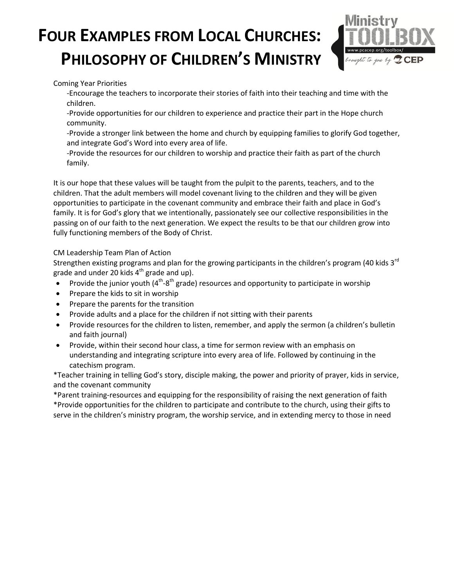

Coming Year Priorities

-Encourage the teachers to incorporate their stories of faith into their teaching and time with the children.

-Provide opportunities for our children to experience and practice their part in the Hope church community.

-Provide a stronger link between the home and church by equipping families to glorify God together, and integrate God's Word into every area of life.

-Provide the resources for our children to worship and practice their faith as part of the church family.

It is our hope that these values will be taught from the pulpit to the parents, teachers, and to the children. That the adult members will model covenant living to the children and they will be given opportunities to participate in the covenant community and embrace their faith and place in God's family. It is for God's glory that we intentionally, passionately see our collective responsibilities in the passing on of our faith to the next generation. We expect the results to be that our children grow into fully functioning members of the Body of Christ.

CM Leadership Team Plan of Action

Strengthen existing programs and plan for the growing participants in the children's program (40 kids 3<sup>rd</sup> grade and under 20 kids  $4<sup>th</sup>$  grade and up).

- Provide the junior youth ( $4<sup>th</sup>-8<sup>th</sup>$  grade) resources and opportunity to participate in worship
- Prepare the kids to sit in worship
- Prepare the parents for the transition
- Provide adults and a place for the children if not sitting with their parents
- Provide resources for the children to listen, remember, and apply the sermon (a children's bulletin and faith journal)
- Provide, within their second hour class, a time for sermon review with an emphasis on understanding and integrating scripture into every area of life. Followed by continuing in the catechism program.

\*Teacher training in telling God's story, disciple making, the power and priority of prayer, kids in service, and the covenant community

\*Parent training-resources and equipping for the responsibility of raising the next generation of faith \*Provide opportunities for the children to participate and contribute to the church, using their gifts to serve in the children's ministry program, the worship service, and in extending mercy to those in need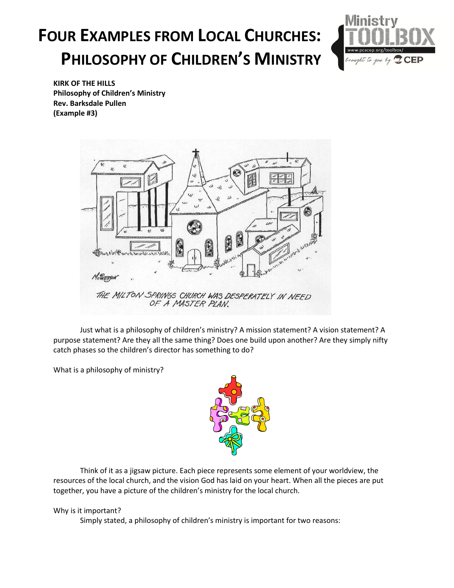

**KIRK OF THE HILLS Philosophy of Children's Ministry Rev. Barksdale Pullen (Example #3)**



Just what is a philosophy of children's ministry? A mission statement? A vision statement? A purpose statement? Are they all the same thing? Does one build upon another? Are they simply nifty catch phases so the children's director has something to do?

What is a philosophy of ministry?



Think of it as a jigsaw picture. Each piece represents some element of your worldview, the resources of the local church, and the vision God has laid on your heart. When all the pieces are put together, you have a picture of the children's ministry for the local church.

#### Why is it important?

Simply stated, a philosophy of children's ministry is important for two reasons: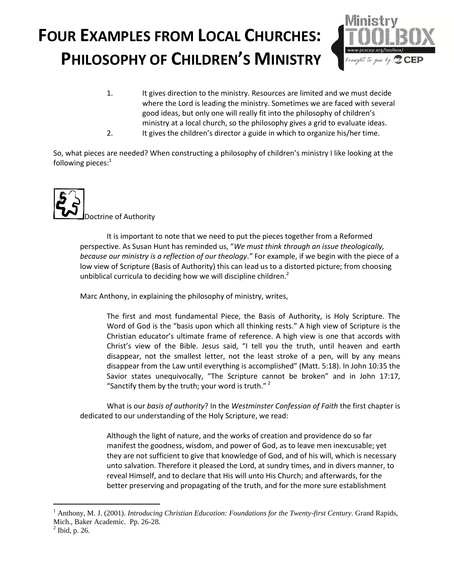

1. It gives direction to the ministry. Resources are limited and we must decide where the Lord is leading the ministry. Sometimes we are faced with several good ideas, but only one will really fit into the philosophy of children's ministry at a local church, so the philosophy gives a grid to evaluate ideas. 2. It gives the children's director a guide in which to organize his/her time.

So, what pieces are needed? When constructing a philosophy of children's ministry I like looking at the following pieces:<sup>1</sup>



It is important to note that we need to put the pieces together from a Reformed perspective. As Susan Hunt has reminded us, "*We must think through an issue theologically, because our ministry is a reflection of our theology*.*"* For example, if we begin with the piece of a low view of Scripture (Basis of Authority) this can lead us to a distorted picture; from choosing unbiblical curricula to deciding how we will discipline children.<sup>2</sup>

Marc Anthony, in explaining the philosophy of ministry, writes,

The first and most fundamental Piece, the Basis of Authority, is Holy Scripture. The Word of God is the "basis upon which all thinking rests." A high view of Scripture is the Christian educator's ultimate frame of reference. A high view is one that accords with Christ's view of the Bible. Jesus said, "I tell you the truth, until heaven and earth disappear, not the smallest letter, not the least stroke of a pen, will by any means disappear from the Law until everything is accomplished" (Matt. 5:18). In John 10:35 the Savior states unequivocally, "The Scripture cannot be broken" and in John 17:17, "Sanctify them by the truth; your word is truth."  $2^2$ 

What is our *basis of authority*? In the *Westminster Confession of Faith* the first chapter is dedicated to our understanding of the Holy Scripture, we read:

Although the light of nature, and the works of creation and providence do so far manifest the goodness, wisdom, and power of God, as to leave men inexcusable; yet they are not sufficient to give that knowledge of God, and of his will, which is necessary unto salvation. Therefore it pleased the Lord, at sundry times, and in divers manner, to reveal Himself, and to declare that His will unto His Church; and afterwards, for the better preserving and propagating of the truth, and for the more sure establishment

 $\overline{a}$ 

<sup>1</sup> Anthony, M. J. (2001). *Introducing Christian Education: Foundations for the Twenty-first Century*. Grand Rapids, Mich., Baker Academic. Pp. 26-28.

 $<sup>2</sup>$  Ibid, p. 26.</sup>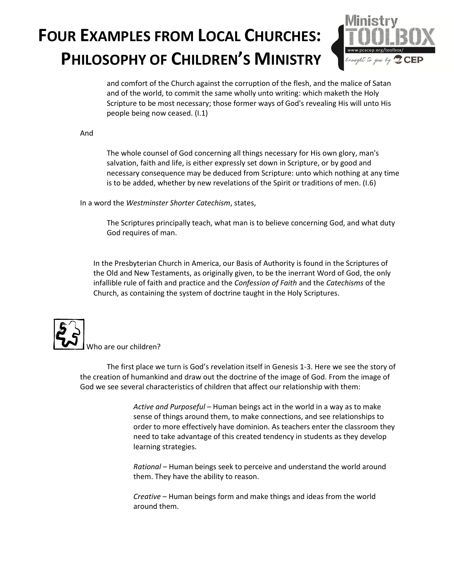

and comfort of the Church against the corruption of the flesh, and the malice of Satan and of the world, to commit the same wholly unto writing: which maketh the Holy Scripture to be most necessary; those former ways of God's revealing His will unto His people being now ceased. (I.1)

And

The whole counsel of God concerning all things necessary for His own glory, man's salvation, faith and life, is either expressly set down in Scripture, or by good and necessary consequence may be deduced from Scripture: unto which nothing at any time is to be added, whether by new revelations of the Spirit or traditions of men. (I.6)

In a word the *Westminster Shorter Catechism*, states,

The Scriptures principally teach, what man is to believe concerning God, and what duty God requires of man.

In the Presbyterian Church in America, our Basis of Authority is found in the Scriptures of the Old and New Testaments, as originally given, to be the inerrant Word of God, the only infallible rule of faith and practice and the *Confession of Faith* and the *Catechisms* of the Church, as containing the system of doctrine taught in the Holy Scriptures.



The first place we turn is God's revelation itself in Genesis 1-3. Here we see the story of the creation of humankind and draw out the doctrine of the image of God. From the image of God we see several characteristics of children that affect our relationship with them:

> *Active and Purposeful* – Human beings act in the world in a way as to make sense of things around them, to make connections, and see relationships to order to more effectively have dominion. As teachers enter the classroom they need to take advantage of this created tendency in students as they develop learning strategies.

*Rational* – Human beings seek to perceive and understand the world around them. They have the ability to reason.

*Creative* – Human beings form and make things and ideas from the world around them.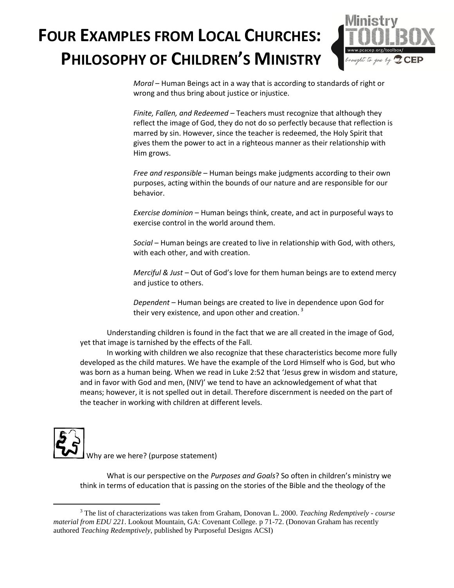

*Moral* – Human Beings act in a way that is according to standards of right or wrong and thus bring about justice or injustice.

*Finite, Fallen, and Redeemed –* Teachers must recognize that although they reflect the image of God, they do not do so perfectly because that reflection is marred by sin. However, since the teacher is redeemed, the Holy Spirit that gives them the power to act in a righteous manner as their relationship with Him grows.

*Free and responsible* – Human beings make judgments according to their own purposes, acting within the bounds of our nature and are responsible for our behavior.

*Exercise dominion* – Human beings think, create, and act in purposeful ways to exercise control in the world around them.

*Social* – Human beings are created to live in relationship with God, with others, with each other, and with creation.

*Merciful & Just –* Out of God's love for them human beings are to extend mercy and justice to others.

*Dependent* – Human beings are created to live in dependence upon God for their very existence, and upon other and creation.  $3$ 

Understanding children is found in the fact that we are all created in the image of God, yet that image is tarnished by the effects of the Fall.

In working with children we also recognize that these characteristics become more fully developed as the child matures. We have the example of the Lord Himself who is God, but who was born as a human being. When we read in Luke 2:52 that 'Jesus grew in wisdom and stature, and in favor with God and men, (NIV)' we tend to have an acknowledgement of what that means; however, it is not spelled out in detail. Therefore discernment is needed on the part of the teacher in working with children at different levels.



 $\overline{a}$ 

What is our perspective on the *Purposes and Goals*? So often in children's ministry we think in terms of education that is passing on the stories of the Bible and the theology of the

<sup>3</sup> The list of characterizations was taken from Graham, Donovan L. 2000. *Teaching Redemptively - course material from EDU 221*. Lookout Mountain, GA: Covenant College. p 71-72. (Donovan Graham has recently authored *Teaching Redemptively*, published by Purposeful Designs ACSI)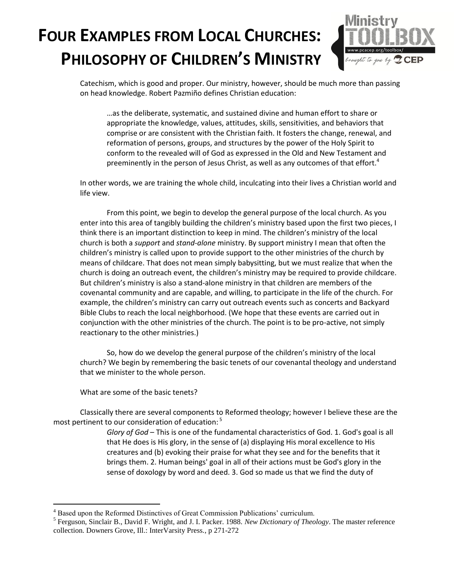

Catechism, which is good and proper. Our ministry, however, should be much more than passing on head knowledge. Robert Pazmiño defines Christian education:

…as the deliberate, systematic, and sustained divine and human effort to share or appropriate the knowledge, values, attitudes, skills, sensitivities, and behaviors that comprise or are consistent with the Christian faith. It fosters the change, renewal, and reformation of persons, groups, and structures by the power of the Holy Spirit to conform to the revealed will of God as expressed in the Old and New Testament and preeminently in the person of Jesus Christ, as well as any outcomes of that effort.<sup>4</sup>

In other words, we are training the whole child, inculcating into their lives a Christian world and life view.

From this point, we begin to develop the general purpose of the local church. As you enter into this area of tangibly building the children's ministry based upon the first two pieces, I think there is an important distinction to keep in mind. The children's ministry of the local church is both a *support* and *stand-alone* ministry. By support ministry I mean that often the children's ministry is called upon to provide support to the other ministries of the church by means of childcare. That does not mean simply babysitting, but we must realize that when the church is doing an outreach event, the children's ministry may be required to provide childcare. But children's ministry is also a stand-alone ministry in that children are members of the covenantal community and are capable, and willing, to participate in the life of the church. For example, the children's ministry can carry out outreach events such as concerts and Backyard Bible Clubs to reach the local neighborhood. (We hope that these events are carried out in conjunction with the other ministries of the church. The point is to be pro-active, not simply reactionary to the other ministries.)

So, how do we develop the general purpose of the children's ministry of the local church? We begin by remembering the basic tenets of our covenantal theology and understand that we minister to the whole person.

What are some of the basic tenets?

 $\overline{a}$ 

Classically there are several components to Reformed theology; however I believe these are the most pertinent to our consideration of education: 5

> *Glory of God* – This is one of the fundamental characteristics of God. 1. God's goal is all that He does is His glory, in the sense of (a) displaying His moral excellence to His creatures and (b) evoking their praise for what they see and for the benefits that it brings them. 2. Human beings' goal in all of their actions must be God's glory in the sense of doxology by word and deed. 3. God so made us that we find the duty of

<sup>4</sup> Based upon the Reformed Distinctives of Great Commission Publications' curriculum.

<sup>5</sup> Ferguson, Sinclair B., David F. Wright, and J. I. Packer. 1988. *New Dictionary of Theology*. The master reference collection. Downers Grove, Ill.: InterVarsity Press., p 271-272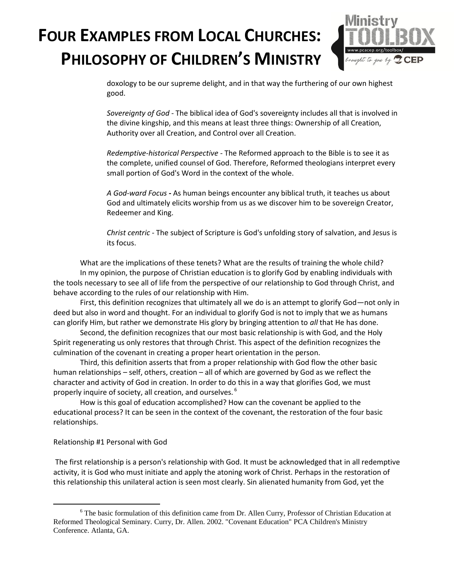

doxology to be our supreme delight, and in that way the furthering of our own highest good.

*Sovereignty of God* - The biblical idea of God's sovereignty includes all that is involved in the divine kingship, and this means at least three things: Ownership of all Creation, Authority over all Creation, and Control over all Creation.

*Redemptive-historical Perspective* - The Reformed approach to the Bible is to see it as the complete, unified counsel of God. Therefore, Reformed theologians interpret every small portion of God's Word in the context of the whole.

*A God-ward Focus* **-** As human beings encounter any biblical truth, it teaches us about God and ultimately elicits worship from us as we discover him to be sovereign Creator, Redeemer and King.

*Christ centric* - The subject of Scripture is God's unfolding story of salvation, and Jesus is its focus.

What are the implications of these tenets? What are the results of training the whole child? In my opinion, the purpose of Christian education is to glorify God by enabling individuals with the tools necessary to see all of life from the perspective of our relationship to God through Christ, and behave according to the rules of our relationship with Him.

First, this definition recognizes that ultimately all we do is an attempt to glorify God—not only in deed but also in word and thought. For an individual to glorify God is not to imply that we as humans can glorify Him, but rather we demonstrate His glory by bringing attention to *all* that He has done.

Second, the definition recognizes that our most basic relationship is with God, and the Holy Spirit regenerating us only restores that through Christ. This aspect of the definition recognizes the culmination of the covenant in creating a proper heart orientation in the person.

Third, this definition asserts that from a proper relationship with God flow the other basic human relationships – self, others, creation – all of which are governed by God as we reflect the character and activity of God in creation. In order to do this in a way that glorifies God, we must properly inquire of society, all creation, and ourselves. <sup>6</sup>

How is this goal of education accomplished? How can the covenant be applied to the educational process? It can be seen in the context of the covenant, the restoration of the four basic relationships.

#### Relationship #1 Personal with God

 $\overline{a}$ 

The first relationship is a person's relationship with God. It must be acknowledged that in all redemptive activity, it is God who must initiate and apply the atoning work of Christ. Perhaps in the restoration of this relationship this unilateral action is seen most clearly. Sin alienated humanity from God, yet the

<sup>&</sup>lt;sup>6</sup> The basic formulation of this definition came from Dr. Allen Curry, Professor of Christian Education at Reformed Theological Seminary. Curry, Dr. Allen. 2002. "Covenant Education" PCA Children's Ministry Conference. Atlanta, GA.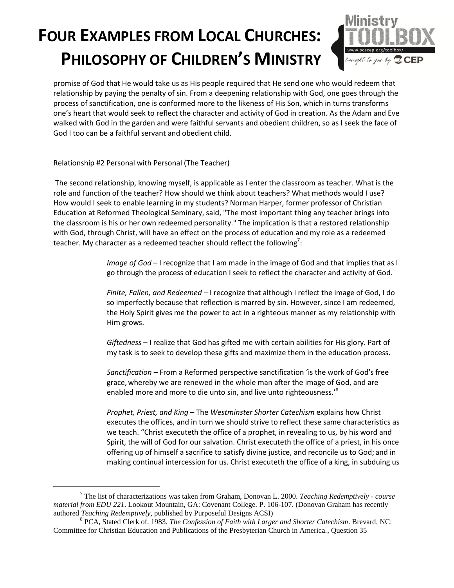

promise of God that He would take us as His people required that He send one who would redeem that relationship by paying the penalty of sin. From a deepening relationship with God, one goes through the process of sanctification, one is conformed more to the likeness of His Son, which in turns transforms one's heart that would seek to reflect the character and activity of God in creation. As the Adam and Eve walked with God in the garden and were faithful servants and obedient children, so as I seek the face of God I too can be a faithful servant and obedient child.

Relationship #2 Personal with Personal (The Teacher)

 $\overline{a}$ 

The second relationship, knowing myself, is applicable as I enter the classroom as teacher. What is the role and function of the teacher? How should we think about teachers? What methods would I use? How would I seek to enable learning in my students? Norman Harper, former professor of Christian Education at Reformed Theological Seminary, said, "The most important thing any teacher brings into the classroom is his or her own redeemed personality." The implication is that a restored relationship with God, through Christ, will have an effect on the process of education and my role as a redeemed teacher. My character as a redeemed teacher should reflect the following<sup>7</sup>:

> *Image of God* – I recognize that I am made in the image of God and that implies that as I go through the process of education I seek to reflect the character and activity of God.

> *Finite, Fallen, and Redeemed –* I recognize that although I reflect the image of God, I do so imperfectly because that reflection is marred by sin. However, since I am redeemed, the Holy Spirit gives me the power to act in a righteous manner as my relationship with Him grows.

*Giftedness* – I realize that God has gifted me with certain abilities for His glory. Part of my task is to seek to develop these gifts and maximize them in the education process.

*Sanctification –* From a Reformed perspective sanctification 'is the work of God's free grace,whereby we are renewed in the whole man after the image of God, and are enabled more and more to die unto sin, and live unto righteousness.<sup>8</sup>

*Prophet, Priest, and King* – The *Westminster Shorter Catechism* explains how Christ executes the offices, and in turn we should strive to reflect these same characteristics as we teach. "Christ executeth the office of a prophet, in revealing to us, by his word and Spirit, the will of God for our salvation. Christ executeth the office of a priest, in his once offering up of himself a sacrifice to satisfy divine justice, and reconcile us to God; and in making continual intercession for us. Christ executeth the office of a king, in subduing us

<sup>7</sup> The list of characterizations was taken from Graham, Donovan L. 2000. *Teaching Redemptively - course material from EDU 221*. Lookout Mountain, GA: Covenant College. P. 106-107. (Donovan Graham has recently authored *Teaching Redemptively*, published by Purposeful Designs ACSI)

<sup>8</sup> PCA, Stated Clerk of. 1983. *The Confession of Faith with Larger and Shorter Catechism*. Brevard, NC: Committee for Christian Education and Publications of the Presbyterian Church in America., Question 35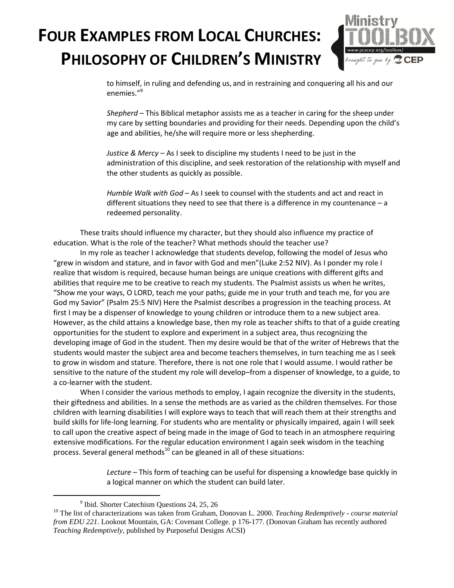

to himself, in ruling and defending us, and in restraining and conquering all his and our enemies."<sup>9</sup>

*Shepherd* – This Biblical metaphor assists me as a teacher in caring for the sheep under my care by setting boundaries and providing for their needs. Depending upon the child's age and abilities, he/she will require more or less shepherding.

*Justice & Mercy* – As I seek to discipline my students I need to be just in the administration of this discipline, and seek restoration of the relationship with myself and the other students as quickly as possible.

*Humble Walk with God* – As I seek to counsel with the students and act and react in different situations they need to see that there is a difference in my countenance  $-a$ redeemed personality.

These traits should influence my character, but they should also influence my practice of education. What is the role of the teacher? What methods should the teacher use?

In my role as teacher I acknowledge that students develop, following the model of Jesus who "grew in wisdom and stature, and in favor with God and men"(Luke 2:52 NIV). As I ponder my role I realize that wisdom is required, because human beings are unique creations with different gifts and abilities that require me to be creative to reach my students. The Psalmist assists us when he writes, "Show me your ways, O LORD, teach me your paths; guide me in your truth and teach me, for you are God my Savior" (Psalm 25:5 NIV) Here the Psalmist describes a progression in the teaching process. At first I may be a dispenser of knowledge to young children or introduce them to a new subject area. However, as the child attains a knowledge base, then my role as teacher shifts to that of a guide creating opportunities for the student to explore and experiment in a subject area, thus recognizing the developing image of God in the student. Then my desire would be that of the writer of Hebrews that the students would master the subject area and become teachers themselves, in turn teaching me as I seek to grow in wisdom and stature. Therefore, there is not one role that I would assume. I would rather be sensitive to the nature of the student my role will develop–from a dispenser of knowledge, to a guide, to a co-learner with the student.

When I consider the various methods to employ, I again recognize the diversity in the students, their giftedness and abilities. In a sense the methods are as varied as the children themselves. For those children with learning disabilities I will explore ways to teach that will reach them at their strengths and build skills for life-long learning. For students who are mentality or physically impaired, again I will seek to call upon the creative aspect of being made in the image of God to teach in an atmosphere requiring extensive modifications. For the regular education environment I again seek wisdom in the teaching process. Several general methods<sup>10</sup> can be gleaned in all of these situations:

> *Lecture –* This form of teaching can be useful for dispensing a knowledge base quickly in a logical manner on which the student can build later.

 $\overline{a}$ 

<sup>&</sup>lt;sup>9</sup> Ibid. Shorter Catechism Questions 24, 25, 26

<sup>10</sup> The list of characterizations was taken from Graham, Donovan L. 2000. *Teaching Redemptively - course material from EDU 221*. Lookout Mountain, GA: Covenant College. p 176-177. (Donovan Graham has recently authored *Teaching Redemptively*, published by Purposeful Designs ACSI)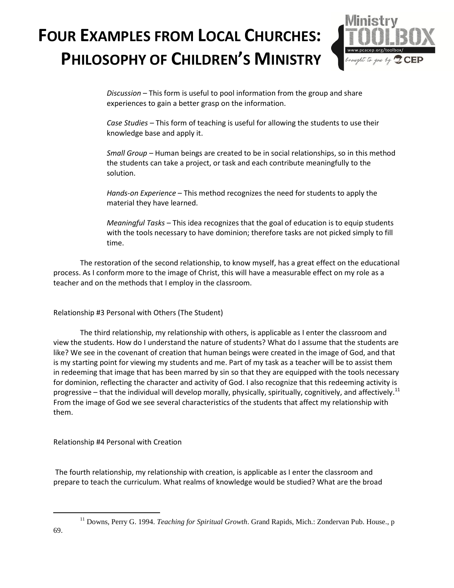

*Discussion –* This form is useful to pool information from the group and share experiences to gain a better grasp on the information.

*Case Studies –* This form of teaching is useful for allowing the students to use their knowledge base and apply it.

*Small Group –* Human beings are created to be in social relationships, so in this method the students can take a project, or task and each contribute meaningfully to the solution.

*Hands-on Experience* – This method recognizes the need for students to apply the material they have learned.

*Meaningful Tasks* – This idea recognizes that the goal of education is to equip students with the tools necessary to have dominion; therefore tasks are not picked simply to fill time.

The restoration of the second relationship, to know myself, has a great effect on the educational process. As I conform more to the image of Christ, this will have a measurable effect on my role as a teacher and on the methods that I employ in the classroom.

Relationship #3 Personal with Others (The Student)

The third relationship, my relationship with others, is applicable as I enter the classroom and view the students. How do I understand the nature of students? What do I assume that the students are like? We see in the covenant of creation that human beings were created in the image of God, and that is my starting point for viewing my students and me. Part of my task as a teacher will be to assist them in redeeming that image that has been marred by sin so that they are equipped with the tools necessary for dominion, reflecting the character and activity of God. I also recognize that this redeeming activity is progressive – that the individual will develop morally, physically, spiritually, cognitively, and affectively.<sup>11</sup> From the image of God we see several characteristics of the students that affect my relationship with them.

Relationship #4 Personal with Creation

The fourth relationship, my relationship with creation, is applicable as I enter the classroom and prepare to teach the curriculum. What realms of knowledge would be studied? What are the broad

 $\overline{a}$ 

<sup>&</sup>lt;sup>11</sup> Downs, Perry G. 1994. *Teaching for Spiritual Growth*. Grand Rapids, Mich.: Zondervan Pub. House., p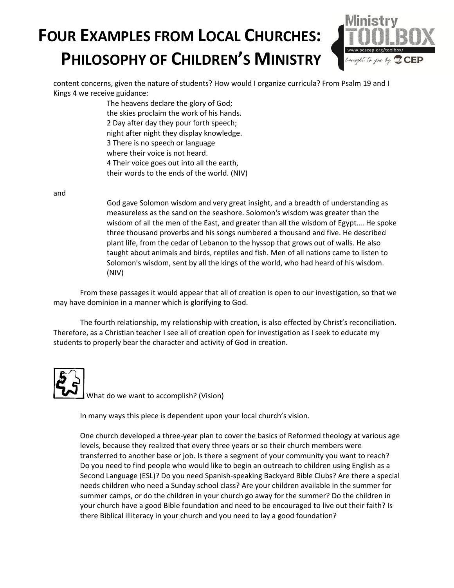

content concerns, given the nature of students? How would I organize curricula? From Psalm 19 and I Kings 4 we receive guidance:

> The heavens declare the glory of God; the skies proclaim the work of his hands. 2 Day after day they pour forth speech; night after night they display knowledge. 3 There is no speech or language where their voice is not heard. 4 Their voice goes out into all the earth, their words to the ends of the world. (NIV)

and

God gave Solomon wisdom and very great insight, and a breadth of understanding as measureless as the sand on the seashore. Solomon's wisdom was greater than the wisdom of all the men of the East, and greater than all the wisdom of Egypt…. He spoke three thousand proverbs and his songs numbered a thousand and five. He described plant life, from the cedar of Lebanon to the hyssop that grows out of walls. He also taught about animals and birds, reptiles and fish. Men of all nations came to listen to Solomon's wisdom, sent by all the kings of the world, who had heard of his wisdom. (NIV)

From these passages it would appear that all of creation is open to our investigation, so that we may have dominion in a manner which is glorifying to God.

The fourth relationship, my relationship with creation, is also effected by Christ's reconciliation. Therefore, as a Christian teacher I see all of creation open for investigation as I seek to educate my students to properly bear the character and activity of God in creation.

What do we want to accomplish? (Vision)

In many ways this piece is dependent upon your local church's vision.

One church developed a three-year plan to cover the basics of Reformed theology at various age levels, because they realized that every three years or so their church members were transferred to another base or job. Is there a segment of your community you want to reach? Do you need to find people who would like to begin an outreach to children using English as a Second Language (ESL)? Do you need Spanish-speaking Backyard Bible Clubs? Are there a special needs children who need a Sunday school class? Are your children available in the summer for summer camps, or do the children in your church go away for the summer? Do the children in your church have a good Bible foundation and need to be encouraged to live out their faith? Is there Biblical illiteracy in your church and you need to lay a good foundation?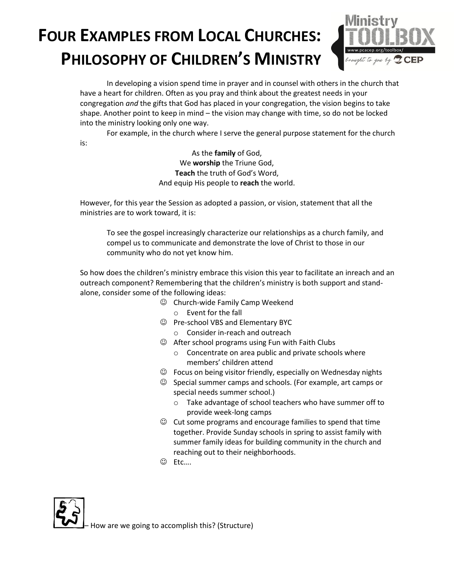

In developing a vision spend time in prayer and in counsel with others in the church that have a heart for children. Often as you pray and think about the greatest needs in your congregation *and* the gifts that God has placed in your congregation, the vision begins to take shape. Another point to keep in mind – the vision may change with time, so do not be locked into the ministry looking only one way.

For example, in the church where I serve the general purpose statement for the church

is:

As the **family** of God, We **worship** the Triune God, **Teach** the truth of God's Word, And equip His people to **reach** the world.

However, for this year the Session as adopted a passion, or vision, statement that all the ministries are to work toward, it is:

To see the gospel increasingly characterize our relationships as a church family, and compel us to communicate and demonstrate the love of Christ to those in our community who do not yet know him.

So how does the children's ministry embrace this vision this year to facilitate an inreach and an outreach component? Remembering that the children's ministry is both support and standalone, consider some of the following ideas:

- Church-wide Family Camp Weekend
	- o Event for the fall
- Pre-school VBS and Elementary BYC
	- o Consider in-reach and outreach
- After school programs using Fun with Faith Clubs
	- o Concentrate on area public and private schools where members' children attend
- $\odot$  Focus on being visitor friendly, especially on Wednesday nights
- $\odot$  Special summer camps and schools. (For example, art camps or special needs summer school.)
	- o Take advantage of school teachers who have summer off to provide week-long camps
- $\odot$  Cut some programs and encourage families to spend that time together. Provide Sunday schools in spring to assist family with summer family ideas for building community in the church and reaching out to their neighborhoods.
- Etc….



How are we going to accomplish this? (Structure)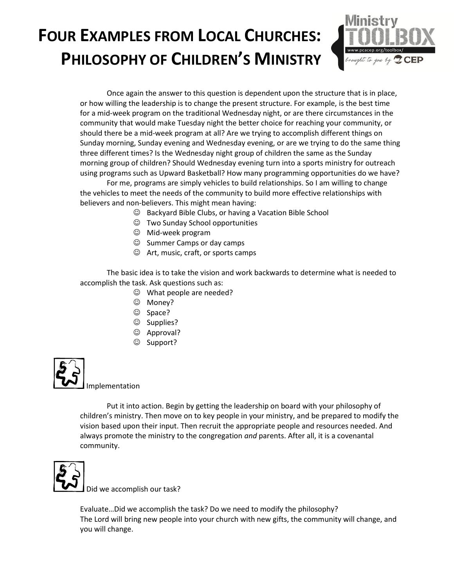

Once again the answer to this question is dependent upon the structure that is in place, or how willing the leadership is to change the present structure. For example, is the best time for a mid-week program on the traditional Wednesday night, or are there circumstances in the community that would make Tuesday night the better choice for reaching your community, or should there be a mid-week program at all? Are we trying to accomplish different things on Sunday morning, Sunday evening and Wednesday evening, or are we trying to do the same thing three different times? Is the Wednesday night group of children the same as the Sunday morning group of children? Should Wednesday evening turn into a sports ministry for outreach using programs such as Upward Basketball? How many programming opportunities do we have?

For me, programs are simply vehicles to build relationships. So I am willing to change the vehicles to meet the needs of the community to build more effective relationships with believers and non-believers. This might mean having:

- Backyard Bible Clubs, or having a Vacation Bible School
- Two Sunday School opportunities
- Mid-week program
- $\odot$  Summer Camps or day camps
- Art, music, craft, or sports camps

The basic idea is to take the vision and work backwards to determine what is needed to accomplish the task. Ask questions such as:

- What people are needed?
- Money?
- © Space?
- © Supplies?
- © Approval?
- © Support?



Put it into action. Begin by getting the leadership on board with your philosophy of children's ministry. Then move on to key people in your ministry, and be prepared to modify the vision based upon their input. Then recruit the appropriate people and resources needed. And always promote the ministry to the congregation *and* parents. After all, it is a covenantal community.



Did we accomplish our task?

Evaluate…Did we accomplish the task? Do we need to modify the philosophy? The Lord will bring new people into your church with new gifts, the community will change, and you will change.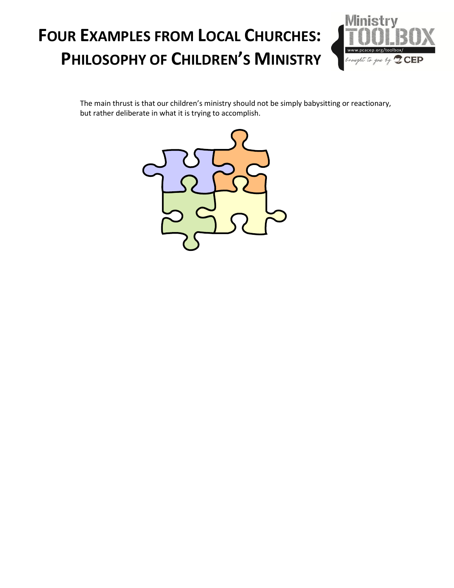

The main thrust is that our children's ministry should not be simply babysitting or reactionary, but rather deliberate in what it is trying to accomplish.

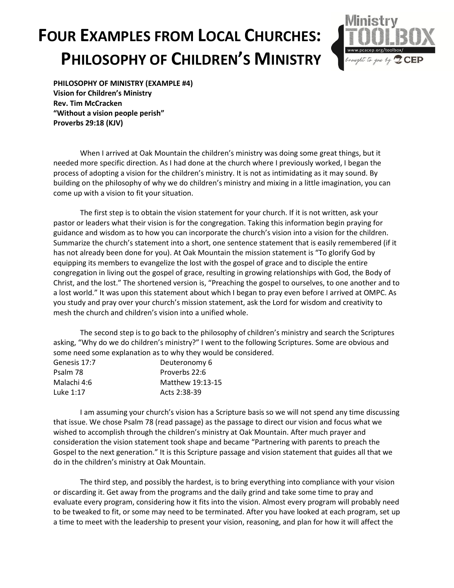

**PHILOSOPHY OF MINISTRY (EXAMPLE #4) Vision for Children's Ministry Rev. Tim McCracken "Without a vision people perish" Proverbs 29:18 (KJV)**

When I arrived at Oak Mountain the children's ministry was doing some great things, but it needed more specific direction. As I had done at the church where I previously worked, I began the process of adopting a vision for the children's ministry. It is not as intimidating as it may sound. By building on the philosophy of why we do children's ministry and mixing in a little imagination, you can come up with a vision to fit your situation.

The first step is to obtain the vision statement for your church. If it is not written, ask your pastor or leaders what their vision is for the congregation. Taking this information begin praying for guidance and wisdom as to how you can incorporate the church's vision into a vision for the children. Summarize the church's statement into a short, one sentence statement that is easily remembered (if it has not already been done for you). At Oak Mountain the mission statement is "To glorify God by equipping its members to evangelize the lost with the gospel of grace and to disciple the entire congregation in living out the gospel of grace, resulting in growing relationships with God, the Body of Christ, and the lost." The shortened version is, "Preaching the gospel to ourselves, to one another and to a lost world." It was upon this statement about which I began to pray even before I arrived at OMPC. As you study and pray over your church's mission statement, ask the Lord for wisdom and creativity to mesh the church and children's vision into a unified whole.

The second step is to go back to the philosophy of children's ministry and search the Scriptures asking, "Why do we do children's ministry?" I went to the following Scriptures. Some are obvious and some need some explanation as to why they would be considered.

| Genesis 17:7 | Deuteronomy 6    |
|--------------|------------------|
| Psalm 78     | Proverbs 22:6    |
| Malachi 4:6  | Matthew 19:13-15 |
| Luke 1:17    | Acts 2:38-39     |

I am assuming your church's vision has a Scripture basis so we will not spend any time discussing that issue. We chose Psalm 78 (read passage) as the passage to direct our vision and focus what we wished to accomplish through the children's ministry at Oak Mountain. After much prayer and consideration the vision statement took shape and became "Partnering with parents to preach the Gospel to the next generation." It is this Scripture passage and vision statement that guides all that we do in the children's ministry at Oak Mountain.

The third step, and possibly the hardest, is to bring everything into compliance with your vision or discarding it. Get away from the programs and the daily grind and take some time to pray and evaluate every program, considering how it fits into the vision. Almost every program will probably need to be tweaked to fit, or some may need to be terminated. After you have looked at each program, set up a time to meet with the leadership to present your vision, reasoning, and plan for how it will affect the